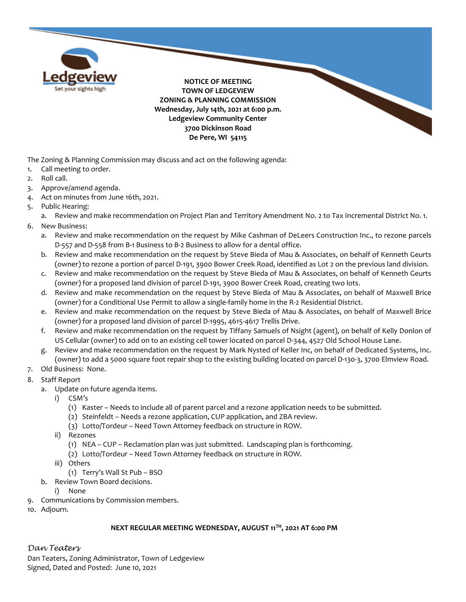

The Zoning & Planning Commission may discuss and act on the following agenda:

- 1. Call meeting to order.
- 2. Roll call.
- 3. Approve/amend agenda.
- 4. Act on minutes from June 16th, 2021.
- 5. Public Hearing:

a. Review and make recommendation on Project Plan and Territory Amendment No. 2 to Tax Incremental District No. 1.

- 6. New Business:
	- a. Review and make recommendation on the request by Mike Cashman of DeLeers Construction Inc., to rezone parcels D-557 and D-558 from B-1 Business to B-2 Business to allow for a dental office.
	- b. Review and make recommendation on the request by Steve Bieda of Mau & Associates, on behalf of Kenneth Geurts (owner) to rezone a portion of parcel D-191, 3900 Bower Creek Road, identified as Lot 2 on the previous land division.
	- c. Review and make recommendation on the request by Steve Bieda of Mau & Associates, on behalf of Kenneth Geurts (owner) for a proposed land division of parcel D-191, 3900 Bower Creek Road, creating two lots.
	- d. Review and make recommendation on the request by Steve Bieda of Mau & Associates, on behalf of Maxwell Brice (owner) for a Conditional Use Permit to allow a single-family home in the R-2 Residential District.
	- e. Review and make recommendation on the request by Steve Bieda of Mau & Associates, on behalf of Maxwell Brice (owner) for a proposed land division of parcel D-1995, 4615-4617 Trellis Drive.
	- f. Review and make recommendation on the request by Tiffany Samuels of Nsight (agent), on behalf of Kelly Donlon of US Cellular (owner) to add on to an existing cell tower located on parcel D-344, 4527 Old School House Lane.
	- g. Review and make recommendation on the request by Mark Nysted of Keller Inc, on behalf of Dedicated Systems, Inc. (owner) to add a 5000 square foot repair shop to the existing building located on parcel D-130-3, 3700 Elmview Road.
- 7. Old Business: None.
- 8. Staff Report
	- a. Update on future agenda items.
		- i) CSM's
			- (1) Kaster Needs to include all of parent parcel and a rezone application needs to be submitted.
			- (2) Steinfeldt Needs a rezone application, CUP application, and ZBA review.
			- (3) Lotto/Tordeur Need Town Attorney feedback on structure in ROW.
		- ii) Rezones
			- (1) NEA CUP Reclamation plan was just submitted. Landscaping plan is forthcoming.
			- (2) Lotto/Tordeur Need Town Attorney feedback on structure in ROW.
		- iii) Others
			- (1) Terry's Wall St Pub BSO
	- b. Review Town Board decisions.
		- i) None
- 9. Communications by Commission members.
- 10. Adjourn.

## **NEXT REGULAR MEETING WEDNESDAY, AUGUST 11TH, 2021 AT 6:00 PM**

## *Dan Teaters*

Dan Teaters, Zoning Administrator, Town of Ledgeview Signed, Dated and Posted: June 10, 2021